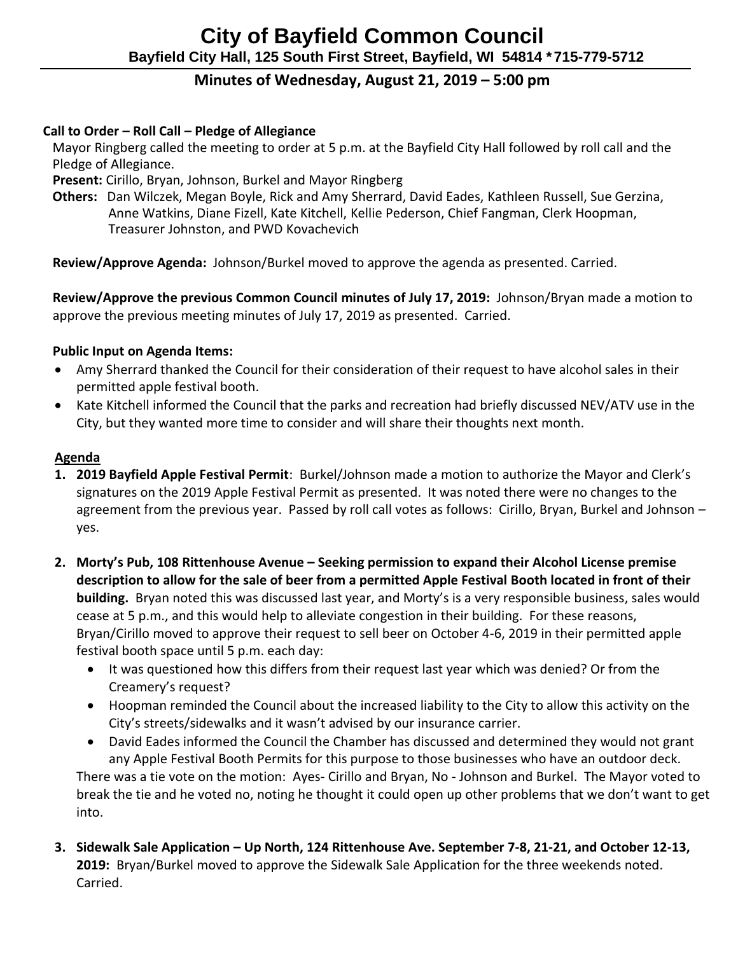# **Minutes of Wednesday, August 21, 2019 – 5:00 pm**

## **Call to Order – Roll Call – Pledge of Allegiance**

 Mayor Ringberg called the meeting to order at 5 p.m. at the Bayfield City Hall followed by roll call and the Pledge of Allegiance.

 **Present:** Cirillo, Bryan, Johnson, Burkel and Mayor Ringberg

 **Others:** Dan Wilczek, Megan Boyle, Rick and Amy Sherrard, David Eades, Kathleen Russell, Sue Gerzina, Anne Watkins, Diane Fizell, Kate Kitchell, Kellie Pederson, Chief Fangman, Clerk Hoopman, Treasurer Johnston, and PWD Kovachevich

 **Review/Approve Agenda:** Johnson/Burkel moved to approve the agenda as presented. Carried.

 **Review/Approve the previous Common Council minutes of July 17, 2019:** Johnson/Bryan made a motion to approve the previous meeting minutes of July 17, 2019 as presented. Carried.

## **Public Input on Agenda Items:**

- Amy Sherrard thanked the Council for their consideration of their request to have alcohol sales in their permitted apple festival booth.
- Kate Kitchell informed the Council that the parks and recreation had briefly discussed NEV/ATV use in the City, but they wanted more time to consider and will share their thoughts next month.

#### **Agenda**

- **1. 2019 Bayfield Apple Festival Permit**: Burkel/Johnson made a motion to authorize the Mayor and Clerk's signatures on the 2019 Apple Festival Permit as presented. It was noted there were no changes to the agreement from the previous year. Passed by roll call votes as follows: Cirillo, Bryan, Burkel and Johnson – yes.
- **2. Morty's Pub, 108 Rittenhouse Avenue – Seeking permission to expand their Alcohol License premise description to allow for the sale of beer from a permitted Apple Festival Booth located in front of their building.** Bryan noted this was discussed last year, and Morty's is a very responsible business, sales would cease at 5 p.m., and this would help to alleviate congestion in their building. For these reasons, Bryan/Cirillo moved to approve their request to sell beer on October 4-6, 2019 in their permitted apple festival booth space until 5 p.m. each day:
	- It was questioned how this differs from their request last year which was denied? Or from the Creamery's request?
	- Hoopman reminded the Council about the increased liability to the City to allow this activity on the City's streets/sidewalks and it wasn't advised by our insurance carrier.
	- David Eades informed the Council the Chamber has discussed and determined they would not grant any Apple Festival Booth Permits for this purpose to those businesses who have an outdoor deck. There was a tie vote on the motion: Ayes- Cirillo and Bryan, No - Johnson and Burkel. The Mayor voted to break the tie and he voted no, noting he thought it could open up other problems that we don't want to get into.
- **3. Sidewalk Sale Application – Up North, 124 Rittenhouse Ave. September 7-8, 21-21, and October 12-13, 2019:** Bryan/Burkel moved to approve the Sidewalk Sale Application for the three weekends noted. Carried.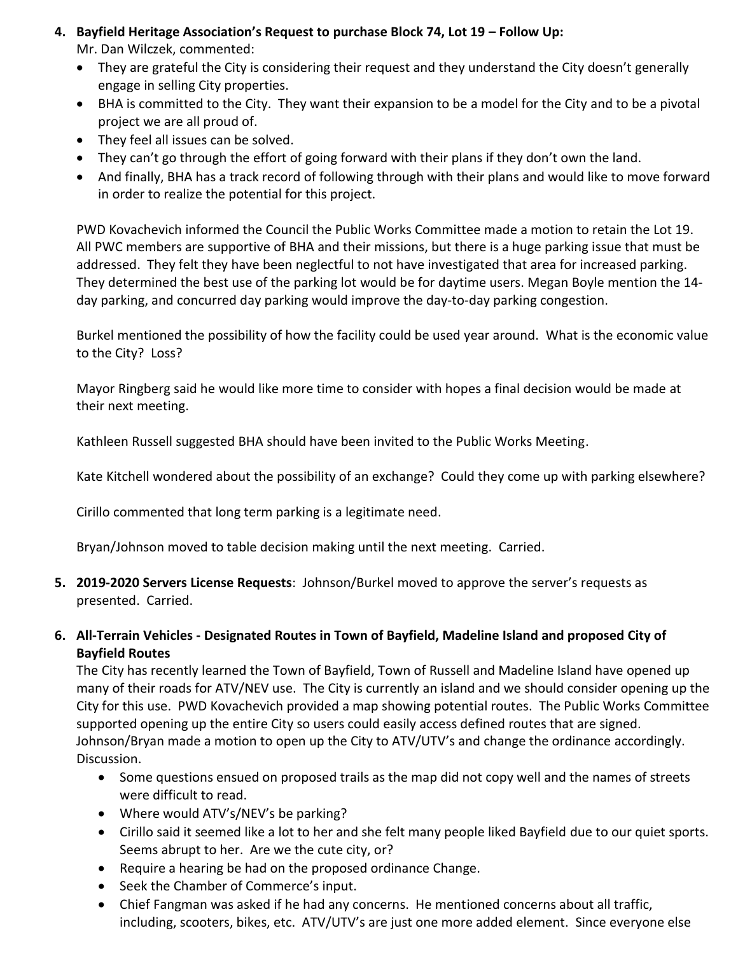**4. Bayfield Heritage Association's Request to purchase Block 74, Lot 19 – Follow Up:** 

Mr. Dan Wilczek, commented:

- They are grateful the City is considering their request and they understand the City doesn't generally engage in selling City properties.
- BHA is committed to the City. They want their expansion to be a model for the City and to be a pivotal project we are all proud of.
- They feel all issues can be solved.
- They can't go through the effort of going forward with their plans if they don't own the land.
- And finally, BHA has a track record of following through with their plans and would like to move forward in order to realize the potential for this project.

PWD Kovachevich informed the Council the Public Works Committee made a motion to retain the Lot 19. All PWC members are supportive of BHA and their missions, but there is a huge parking issue that must be addressed. They felt they have been neglectful to not have investigated that area for increased parking. They determined the best use of the parking lot would be for daytime users. Megan Boyle mention the 14 day parking, and concurred day parking would improve the day-to-day parking congestion.

Burkel mentioned the possibility of how the facility could be used year around. What is the economic value to the City? Loss?

Mayor Ringberg said he would like more time to consider with hopes a final decision would be made at their next meeting.

Kathleen Russell suggested BHA should have been invited to the Public Works Meeting.

Kate Kitchell wondered about the possibility of an exchange? Could they come up with parking elsewhere?

Cirillo commented that long term parking is a legitimate need.

Bryan/Johnson moved to table decision making until the next meeting. Carried.

- **5. 2019-2020 Servers License Requests**: Johnson/Burkel moved to approve the server's requests as presented. Carried.
- **6. All-Terrain Vehicles - Designated Routes in Town of Bayfield, Madeline Island and proposed City of Bayfield Routes**

The City has recently learned the Town of Bayfield, Town of Russell and Madeline Island have opened up many of their roads for ATV/NEV use. The City is currently an island and we should consider opening up the City for this use. PWD Kovachevich provided a map showing potential routes. The Public Works Committee supported opening up the entire City so users could easily access defined routes that are signed. Johnson/Bryan made a motion to open up the City to ATV/UTV's and change the ordinance accordingly. Discussion.

- Some questions ensued on proposed trails as the map did not copy well and the names of streets were difficult to read.
- Where would ATV's/NEV's be parking?
- Cirillo said it seemed like a lot to her and she felt many people liked Bayfield due to our quiet sports. Seems abrupt to her. Are we the cute city, or?
- Require a hearing be had on the proposed ordinance Change.
- Seek the Chamber of Commerce's input.
- Chief Fangman was asked if he had any concerns. He mentioned concerns about all traffic, including, scooters, bikes, etc. ATV/UTV's are just one more added element. Since everyone else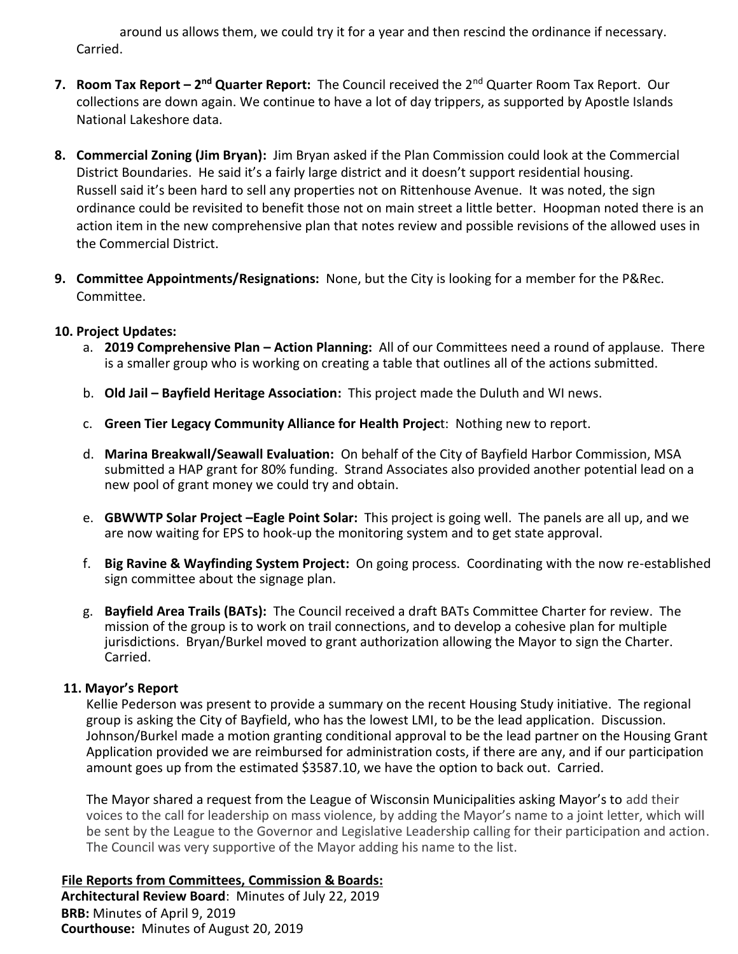around us allows them, we could try it for a year and then rescind the ordinance if necessary. Carried.

- **7. Room Tax Report 2<sup>nd</sup> Quarter Report:** The Council received the 2<sup>nd</sup> Quarter Room Tax Report. Our collections are down again. We continue to have a lot of day trippers, as supported by Apostle Islands National Lakeshore data.
- **8. Commercial Zoning (Jim Bryan):** Jim Bryan asked if the Plan Commission could look at the Commercial District Boundaries. He said it's a fairly large district and it doesn't support residential housing. Russell said it's been hard to sell any properties not on Rittenhouse Avenue. It was noted, the sign ordinance could be revisited to benefit those not on main street a little better. Hoopman noted there is an action item in the new comprehensive plan that notes review and possible revisions of the allowed uses in the Commercial District.
- **9. Committee Appointments/Resignations:** None, but the City is looking for a member for the P&Rec. Committee.

## **10. Project Updates:**

- a. **2019 Comprehensive Plan – Action Planning:** All of our Committees need a round of applause. There is a smaller group who is working on creating a table that outlines all of the actions submitted.
- b. **Old Jail – Bayfield Heritage Association:** This project made the Duluth and WI news.
- c. **Green Tier Legacy Community Alliance for Health Projec**t: Nothing new to report.
- d. **Marina Breakwall/Seawall Evaluation:** On behalf of the City of Bayfield Harbor Commission, MSA submitted a HAP grant for 80% funding. Strand Associates also provided another potential lead on a new pool of grant money we could try and obtain.
- e. **GBWWTP Solar Project –Eagle Point Solar:** This project is going well. The panels are all up, and we are now waiting for EPS to hook-up the monitoring system and to get state approval.
- f. **Big Ravine & Wayfinding System Project:** On going process. Coordinating with the now re-established sign committee about the signage plan.
- g. **Bayfield Area Trails (BATs):** The Council received a draft BATs Committee Charter for review. The mission of the group is to work on trail connections, and to develop a cohesive plan for multiple jurisdictions. Bryan/Burkel moved to grant authorization allowing the Mayor to sign the Charter. Carried.

## **11. Mayor's Report**

Kellie Pederson was present to provide a summary on the recent Housing Study initiative. The regional group is asking the City of Bayfield, who has the lowest LMI, to be the lead application. Discussion. Johnson/Burkel made a motion granting conditional approval to be the lead partner on the Housing Grant Application provided we are reimbursed for administration costs, if there are any, and if our participation amount goes up from the estimated \$3587.10, we have the option to back out. Carried.

 The Mayor shared a request from the League of Wisconsin Municipalities asking Mayor's to add their voices to the call for leadership on mass violence, by adding the Mayor's name to a joint letter, which will be sent by the League to the Governor and Legislative Leadership calling for their participation and action. The Council was very supportive of the Mayor adding his name to the list.

**File Reports from Committees, Commission & Boards: Architectural Review Board**: Minutes of July 22, 2019 **BRB:** Minutes of April 9, 2019 **Courthouse:** Minutes of August 20, 2019